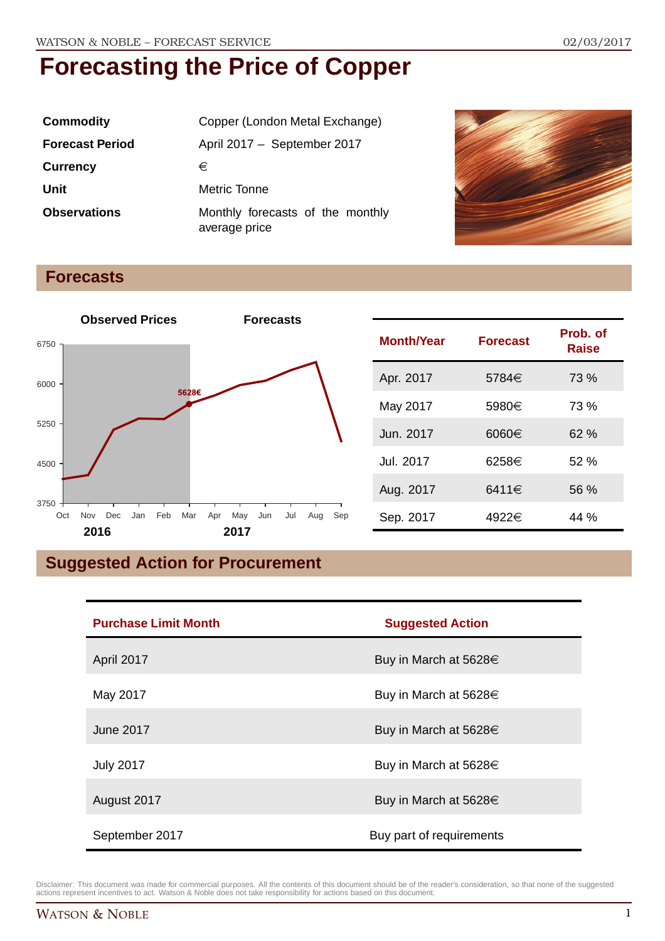| <b>Commodity</b>       | Copper (London Metal Exchange)                    |
|------------------------|---------------------------------------------------|
| <b>Forecast Period</b> | April 2017 - September 2017                       |
| <b>Currency</b>        | €                                                 |
| Unit                   | Metric Tonne                                      |
| <b>Observations</b>    | Monthly forecasts of the monthly<br>average price |



### **Forecasts**



| <b>Month/Year</b> | <b>Forecast</b> | Prob. of<br><b>Raise</b> |
|-------------------|-----------------|--------------------------|
| Apr. 2017         | 5784€           | 73 %                     |
| May 2017          | 5980€           | 73 %                     |
| Jun. 2017         | $6060 \in$      | 62%                      |
| Jul. 2017         | 6258€           | 52%                      |
| Aug. 2017         | 6411€           | 56 %                     |
| Sep. 2017         | 4922€           | 44 %                     |

## **Suggested Action for Procurement**

| <b>Purchase Limit Month</b> | <b>Suggested Action</b>    |
|-----------------------------|----------------------------|
| April 2017                  | Buy in March at 5628€      |
| May 2017                    | Buy in March at 5628€      |
| <b>June 2017</b>            | Buy in March at $5628 \in$ |
| <b>July 2017</b>            | Buy in March at $5628 \in$ |
| August 2017                 | Buy in March at 5628 $\in$ |
| September 2017              | Buy part of requirements   |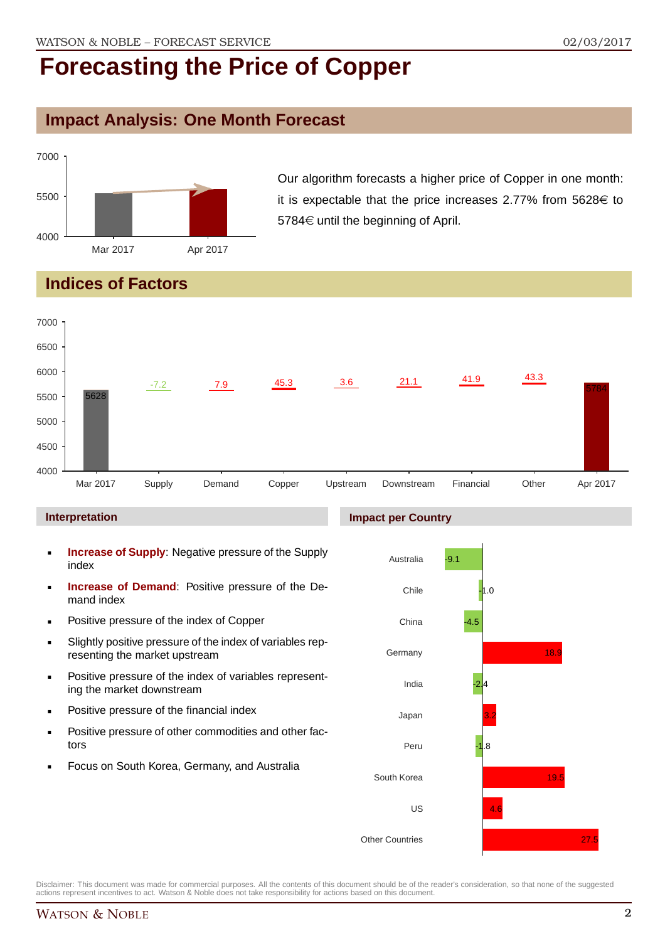## **Impact Analysis: One Month Forecast**



Our algorithm forecasts a higher price of Copper in one month: it is expectable that the price increases 2.77% from  $5628 \in$  to  $5784 \in$  until the beginning of April.

## **Indices of Factors**



#### **Interpretation**

- **Increase of Supply**: Negative pressure of the Supply index
- **Increase of Demand**: Positive pressure of the Demand index
- **Positive pressure of the index of Copper**
- Slightly positive pressure of the index of variables representing the market upstream
- **Positive pressure of the index of variables represent**ing the market downstream
- **•** Positive pressure of the financial index
- **Positive pressure of other commodities and other fac**tors
- Focus on South Korea, Germany, and Australia

### **Impact per Country**

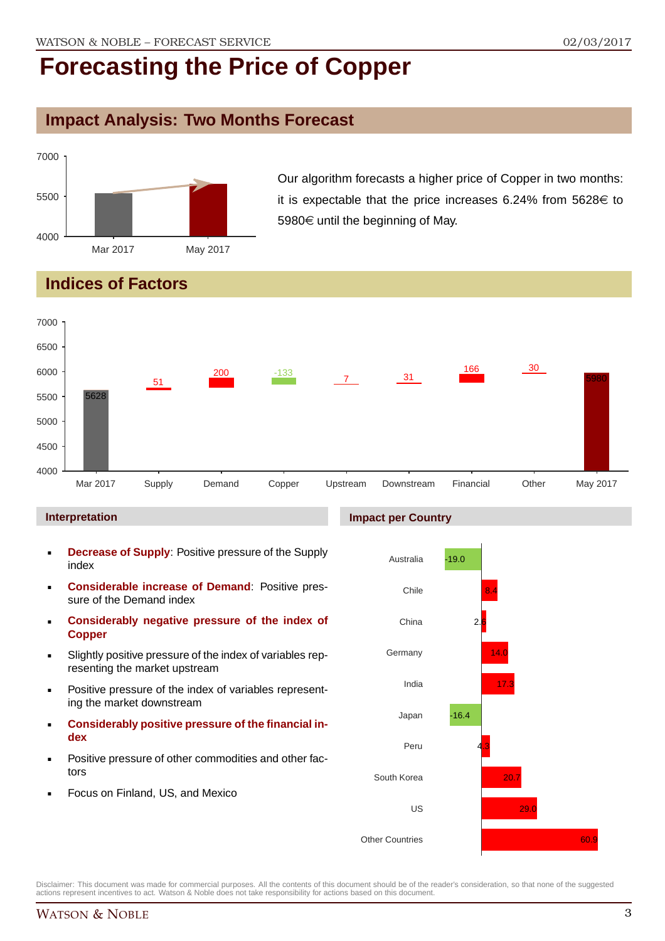## **Impact Analysis: Two Months Forecast**



Our algorithm forecasts a higher price of Copper in two months: it is expectable that the price increases 6.24% from  $5628 \in$  to 5980 $\in$  until the beginning of May.

## **Indices of Factors**



#### **Interpretation**

- **Decrease of Supply**: Positive pressure of the Supply index
- **Considerable increase of Demand**: Positive pressure of the Demand index
- **Considerably negative pressure of the index of Copper**
- Slightly positive pressure of the index of variables representing the market upstream
- Positive pressure of the index of variables representing the market downstream
- **Considerably positive pressure of the financial index**
- Positive pressure of other commodities and other factors
- Focus on Finland, US, and Mexico



Disclaimer: This document was made for commercial purposes. All the contents of this document should be of the reader's consideration, so that none of the suggested actions represent incentives to act. Watson & Noble does not take responsibility for actions based on this document.

### WATSON & NOBLE 3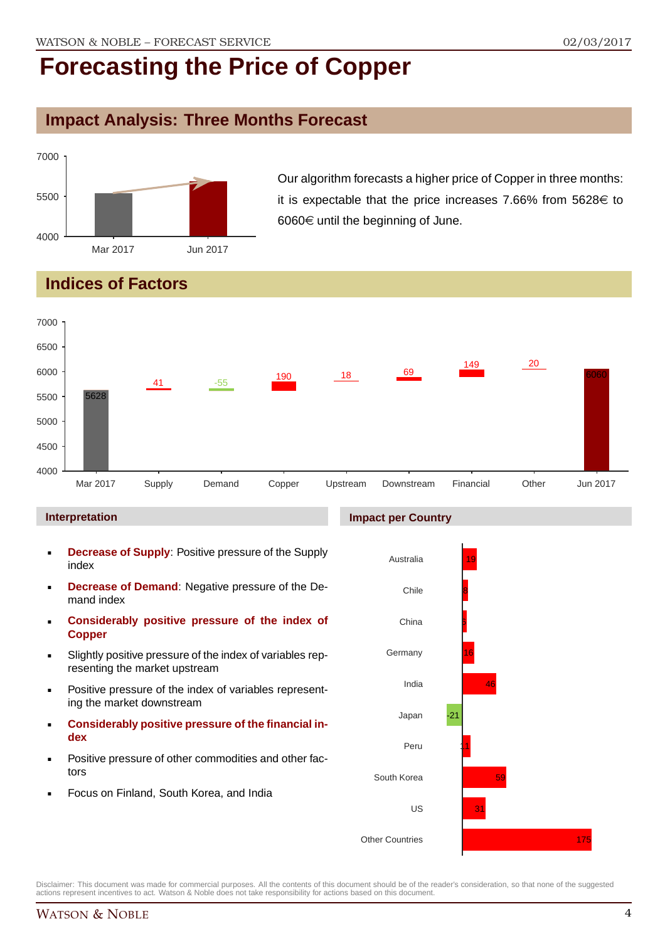## **Impact Analysis: Three Months Forecast**



Our algorithm forecasts a higher price of Copper in three months: it is expectable that the price increases 7.66% from  $5628 \in$  to  $6060 \in$  until the beginning of June.

## **Indices of Factors**



#### **Interpretation**

- **Decrease of Supply**: Positive pressure of the Supply index
- **Decrease of Demand**: Negative pressure of the Demand index
- **Considerably positive pressure of the index of Copper**
- Slightly positive pressure of the index of variables representing the market upstream
- Positive pressure of the index of variables representing the market downstream
- **Considerably positive pressure of the financial index**
- Positive pressure of other commodities and other factors
- Focus on Finland, South Korea, and India

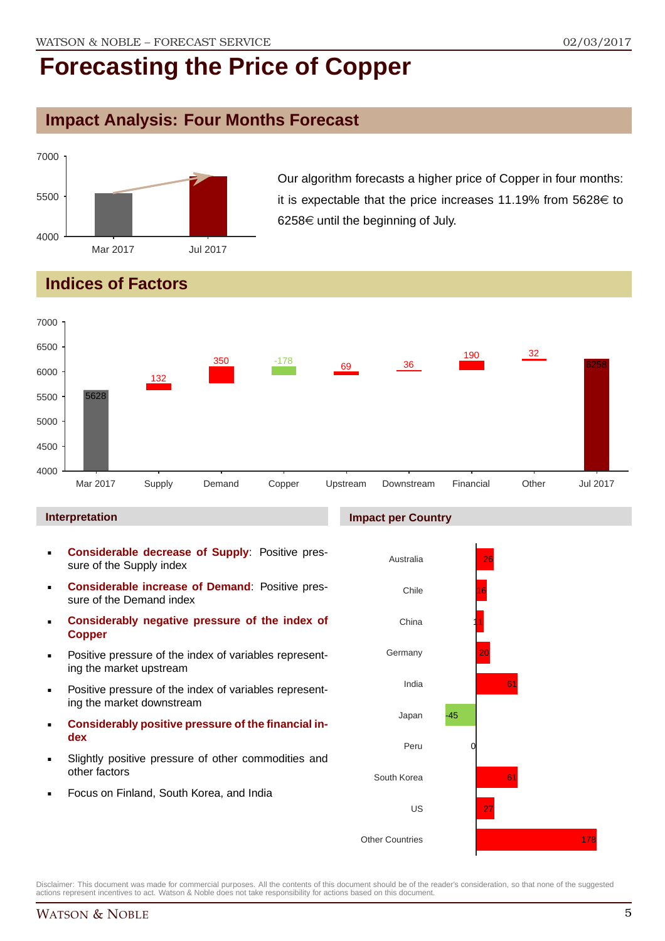## **Impact Analysis: Four Months Forecast**



Our algorithm forecasts a higher price of Copper in four months: it is expectable that the price increases 11.19% from  $5628 \in$  to  $6258 \in$  until the beginning of July.

## **Indices of Factors**



**Impact per Country**

#### **Interpretation**

- **Considerable decrease of Supply**: Positive pressure of the Supply index
- **Considerable increase of Demand**: Positive pressure of the Demand index
- **Considerably negative pressure of the index of Copper**
- Positive pressure of the index of variables representing the market upstream
- Positive pressure of the index of variables representing the market downstream
- **Considerably positive pressure of the financial index**
- Slightly positive pressure of other commodities and other factors
- Focus on Finland, South Korea, and India

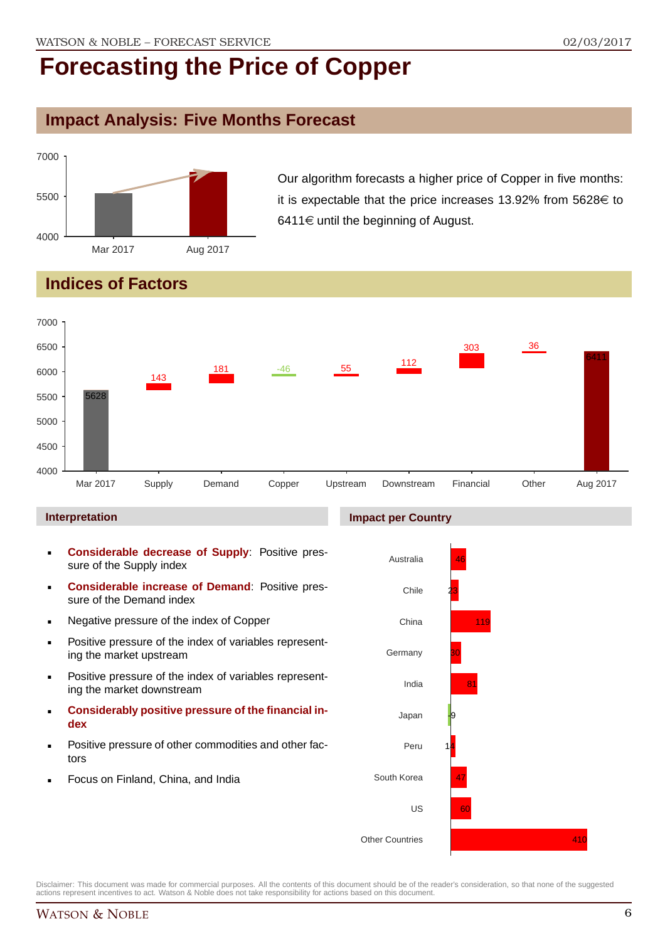## **Impact Analysis: Five Months Forecast**



Our algorithm forecasts a higher price of Copper in five months: it is expectable that the price increases 13.92% from  $5628 \in$  to 6411 $\in$  until the beginning of August.

## **Indices of Factors**



#### **Interpretation**

- **Considerable decrease of Supply**: Positive pressure of the Supply index
- **Considerable increase of Demand**: Positive pressure of the Demand index
- **Negative pressure of the index of Copper**
- **Positive pressure of the index of variables represent**ing the market upstream
- **Positive pressure of the index of variables represent**ing the market downstream
- **Considerably positive pressure of the financial index**
- Positive pressure of other commodities and other factors
- Focus on Finland, China, and India

#### **Impact per Country**



Disclaimer: This document was made for commercial purposes. All the contents of this document should be of the reader's consideration, so that none of the suggested actions represent incentives to act. Watson & Noble does not take responsibility for actions based on this document.

410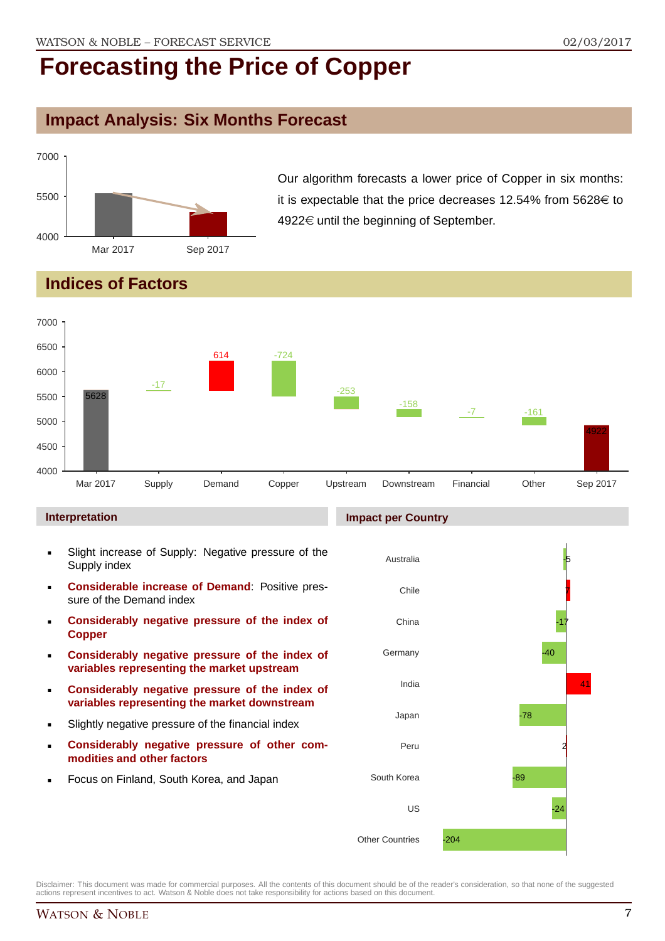## **Impact Analysis: Six Months Forecast**



Our algorithm forecasts a lower price of Copper in six months: it is expectable that the price decreases 12.54% from  $5628 \in$  to  $4922 \in$  until the beginning of September.

## **Indices of Factors**



#### **Interpretation**

- Slight increase of Supply: Negative pressure of the Supply index
- **Considerable increase of Demand**: Positive pressure of the Demand index
- **Considerably negative pressure of the index of Copper**
- **Considerably negative pressure of the index of variables representing the market upstream**
- **Considerably negative pressure of the index of variables representing the market downstream**
- Slightly negative pressure of the financial index
- **Considerably negative pressure of other commodities and other factors**
- Focus on Finland, South Korea, and Japan

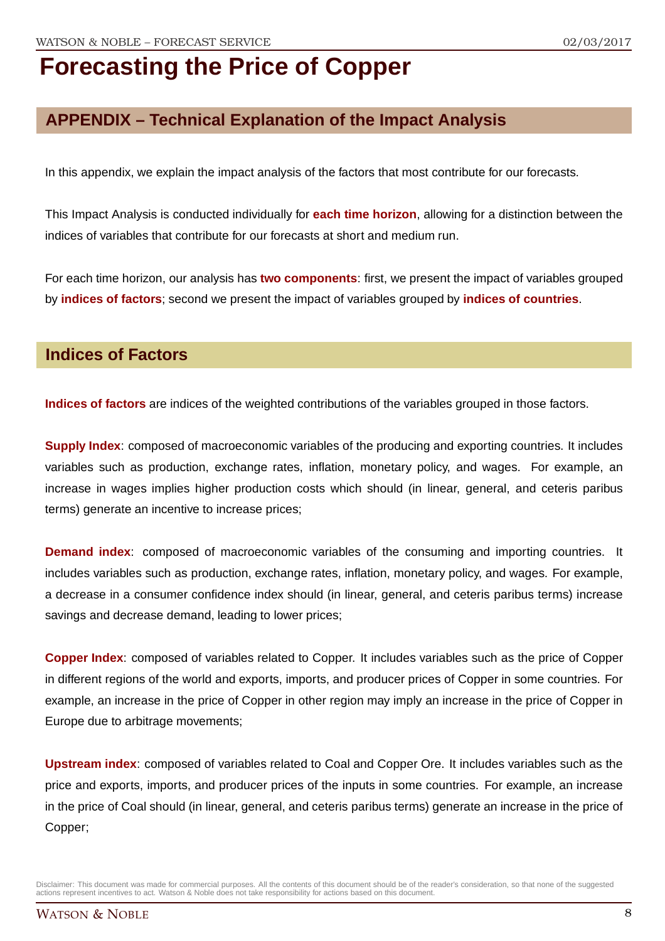## **APPENDIX – Technical Explanation of the Impact Analysis**

In this appendix, we explain the impact analysis of the factors that most contribute for our forecasts.

This Impact Analysis is conducted individually for **each time horizon**, allowing for a distinction between the indices of variables that contribute for our forecasts at short and medium run.

For each time horizon, our analysis has **two components**: first, we present the impact of variables grouped by **indices of factors**; second we present the impact of variables grouped by **indices of countries**.

### **Indices of Factors**

**Indices of factors** are indices of the weighted contributions of the variables grouped in those factors.

**Supply Index:** composed of macroeconomic variables of the producing and exporting countries. It includes variables such as production, exchange rates, inflation, monetary policy, and wages. For example, an increase in wages implies higher production costs which should (in linear, general, and ceteris paribus terms) generate an incentive to increase prices;

**Demand index**: composed of macroeconomic variables of the consuming and importing countries. It includes variables such as production, exchange rates, inflation, monetary policy, and wages. For example, a decrease in a consumer confidence index should (in linear, general, and ceteris paribus terms) increase savings and decrease demand, leading to lower prices;

**Copper Index**: composed of variables related to Copper. It includes variables such as the price of Copper in different regions of the world and exports, imports, and producer prices of Copper in some countries. For example, an increase in the price of Copper in other region may imply an increase in the price of Copper in Europe due to arbitrage movements;

**Upstream index**: composed of variables related to Coal and Copper Ore. It includes variables such as the price and exports, imports, and producer prices of the inputs in some countries. For example, an increase in the price of Coal should (in linear, general, and ceteris paribus terms) generate an increase in the price of Copper;